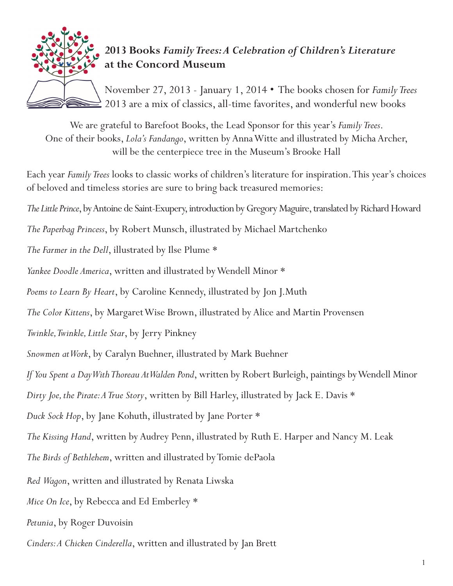

## **2013 Books** *Family Trees: A Celebration of Children's Literature*  **at the Concord Museum**

November 27, 2013 - January 1, 2014 • The books chosen for *Family Trees* 2013 are a mix of classics, all-time favorites, and wonderful new books

We are grateful to Barefoot Books, the Lead Sponsor for this year's *Family Trees*. One of their books, *Lola's Fandango*, written by Anna Witte and illustrated by Micha Archer, will be the centerpiece tree in the Museum's Brooke Hall

Each year *Family Trees* looks to classic works of children's literature for inspiration. This year's choices of beloved and timeless stories are sure to bring back treasured memories:

*The Little Prince*, by Antoine de Saint-Exupery, introduction by Gregory Maguire, translated by Richard Howard

*The Paperbag Princess*, by Robert Munsch, illustrated by Michael Martchenko

*The Farmer in the Dell*, illustrated by Ilse Plume \*

*Yankee Doodle America*, written and illustrated by Wendell Minor \*

*Poems to Learn By Heart*, by Caroline Kennedy, illustrated by Jon J.Muth

*The Color Kittens*, by Margaret Wise Brown, illustrated by Alice and Martin Provensen

*Twinkle, Twinkle, Little Star*, by Jerry Pinkney

*Snowmen at Work*, by Caralyn Buehner, illustrated by Mark Buehner

*If You Spent a Day With Thoreau At Walden Pond*, written by Robert Burleigh, paintings by Wendell Minor

*Dirty Joe, the Pirate: A True Story*, written by Bill Harley, illustrated by Jack E. Davis \*

*Duck Sock Hop*, by Jane Kohuth, illustrated by Jane Porter \*

*The Kissing Hand*, written by Audrey Penn, illustrated by Ruth E. Harper and Nancy M. Leak

*The Birds of Bethlehem*, written and illustrated by Tomie dePaola

*Red Wagon*, written and illustrated by Renata Liwska

*Mice On Ice*, by Rebecca and Ed Emberley \*

*Petunia*, by Roger Duvoisin

*Cinders: A Chicken Cinderella*, written and illustrated by Jan Brett